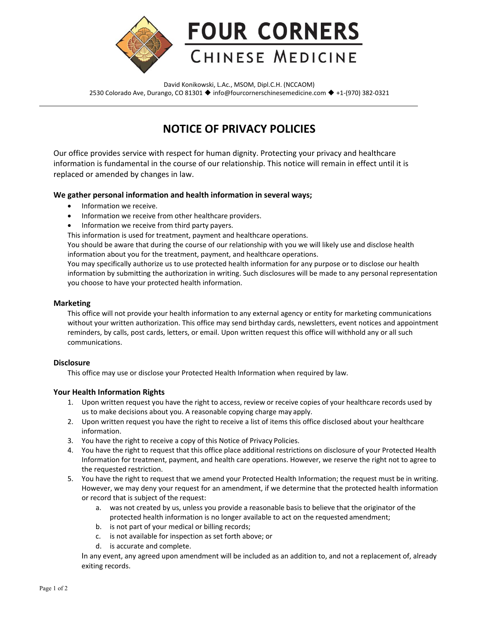

David Konikowski, L.Ac., MSOM, Dipl.C.H. (NCCAOM) 2530 Colorado Ave, Durango, CO 81301 ♦ [info@fourcornerschinesemedicine.com](mailto:info@fourcornerschinesemedicine.com) ♦ +1-(970) 382-0321

# **NOTICE OF PRIVACY POLICIES**

Our office provides service with respect for human dignity. Protecting your privacy and healthcare information is fundamental in the course of our relationship. This notice will remain in effect until it is replaced or amended by changes in law.

### **We gather personal information and health information in several ways;**

- Information we receive.
- Information we receive from other healthcare providers.
- Information we receive from third party payers.

This information is used for treatment, payment and healthcare operations.

You should be aware that during the course of our relationship with you we will likely use and disclose health information about you for the treatment, payment, and healthcare operations.

You may specifically authorize us to use protected health information for any purpose or to disclose our health information by submitting the authorization in writing. Such disclosures will be made to any personal representation you choose to have your protected health information.

#### **Marketing**

This office will not provide your health information to any external agency or entity for marketing communications without your written authorization. This office may send birthday cards, newsletters, event notices and appointment reminders, by calls, post cards, letters, or email. Upon written request this office will withhold any or all such communications.

# **Disclosure**

This office may use or disclose your Protected Health Information when required by law.

# **Your Health Information Rights**

- 1. Upon written request you have the right to access, review or receive copies of your healthcare records used by us to make decisions about you. A reasonable copying charge may apply.
- 2. Upon written request you have the right to receive a list of items this office disclosed about your healthcare information.
- 3. You have the right to receive a copy of this Notice of Privacy Policies.
- 4. You have the right to request that this office place additional restrictions on disclosure of your Protected Health Information for treatment, payment, and health care operations. However, we reserve the right not to agree to the requested restriction.
- 5. You have the right to request that we amend your Protected Health Information; the request must be in writing. However, we may deny your request for an amendment, if we determine that the protected health information or record that is subject of the request:
	- a. was not created by us, unless you provide a reasonable basis to believe that the originator of the protected health information is no longer available to act on the requested amendment;
	- b. is not part of your medical or billing records;
	- c. is not available for inspection as set forth above; or
	- d. is accurate and complete.

In any event, any agreed upon amendment will be included as an addition to, and not a replacement of, already exiting records.